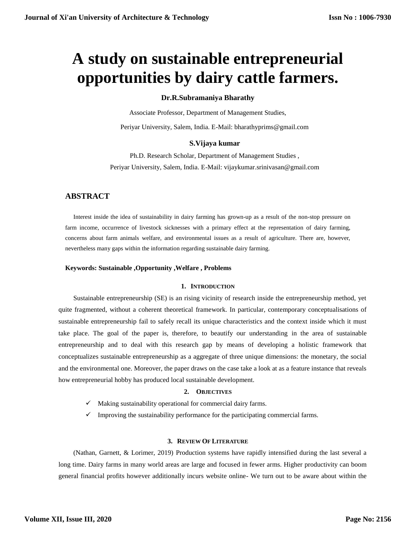# **A study on sustainable entrepreneurial opportunities by dairy cattle farmers.**

# **Dr.R.Subramaniya Bharathy**

Associate Professor, Department of Management Studies,

Periyar University, Salem, India. E-Mail: bharathyprims@gmail.com

# **S.Vijaya kumar**

Ph.D. Research Scholar, Department of Management Studies , Periyar University, Salem, India. E-Mail: vijaykumar.srinivasan@gmail.com

# **ABSTRACT**

Interest inside the idea of sustainability in dairy farming has grown-up as a result of the non-stop pressure on farm income, occurrence of livestock sicknesses with a primary effect at the representation of dairy farming, concerns about farm animals welfare, and environmental issues as a result of agriculture. There are, however, nevertheless many gaps within the information regarding sustainable dairy farming.

## **Keywords: Sustainable ,Opportunity ,Welfare , Problems**

#### **1. INTRODUCTION**

Sustainable entrepreneurship (SE) is an rising vicinity of research inside the entrepreneurship method, yet quite fragmented, without a coherent theoretical framework. In particular, contemporary conceptualisations of sustainable entrepreneurship fail to safely recall its unique characteristics and the context inside which it must take place. The goal of the paper is, therefore, to beautify our understanding in the area of sustainable entrepreneurship and to deal with this research gap by means of developing a holistic framework that conceptualizes sustainable entrepreneurship as a aggregate of three unique dimensions: the monetary, the social and the environmental one. Moreover, the paper draws on the case take a look at as a feature instance that reveals how entrepreneurial hobby has produced local sustainable development.

# **2. OBJECTIVES**

- $\checkmark$  Making sustainability operational for commercial dairy farms.
- $\checkmark$  Improving the sustainability performance for the participating commercial farms.

# **3. REVIEW OF LITERATURE**

(Nathan, Garnett, & Lorimer, 2019) Production systems have rapidly intensified during the last several a long time. Dairy farms in many world areas are large and focused in fewer arms. Higher productivity can boom general financial profits however additionally incurs website online- We turn out to be aware about within the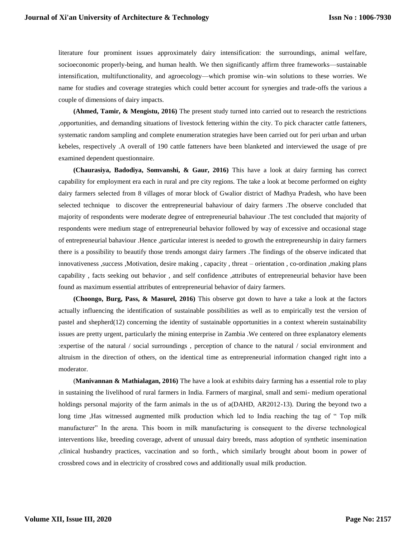literature four prominent issues approximately dairy intensification: the surroundings, animal welfare, socioeconomic properly-being, and human health. We then significantly affirm three frameworks—sustainable intensification, multifunctionality, and agroecology—which promise win–win solutions to these worries. We name for studies and coverage strategies which could better account for synergies and trade-offs the various a couple of dimensions of dairy impacts.

**(Ahmed, Tamir, & Mengistu, 2016)** The present study turned into carried out to research the restrictions ,opportunities, and demanding situations of livestock fettering within the city. To pick character cattle fatteners, systematic random sampling and complete enumeration strategies have been carried out for peri urban and urban kebeles, respectively .A overall of 190 cattle fatteners have been blanketed and interviewed the usage of pre examined dependent questionnaire.

**(Chaurasiya, Badodiya, Somvanshi, & Gaur, 2016)** This have a look at dairy farming has correct capability for employment era each in rural and pre city regions. The take a look at become performed on eighty dairy farmers selected from 8 villages of morar block of Gwalior district of Madhya Pradesh, who have been selected technique to discover the entrepreneurial bahaviour of dairy farmers .The observe concluded that majority of respondents were moderate degree of entrepreneurial bahaviour .The test concluded that majority of respondents were medium stage of entrepreneurial behavior followed by way of excessive and occasional stage of entrepreneurial bahaviour .Hence ,particular interest is needed to growth the entrepreneurship in dairy farmers there is a possibility to beautify those trends amongst dairy farmers .The findings of the observe indicated that innovativeness ,success ,Motivation, desire making , capacity , threat – orientation , co-ordination ,making plans capability , facts seeking out behavior , and self confidence ,attributes of entrepreneurial behavior have been found as maximum essential attributes of entrepreneurial behavior of dairy farmers.

**(Choongo, Burg, Pass, & Masurel, 2016)** This observe got down to have a take a look at the factors actually influencing the identification of sustainable possibilities as well as to empirically test the version of pastel and shepherd(12) concerning the identity of sustainable opportunities in a context wherein sustainability issues are pretty urgent, particularly the mining enterprise in Zambia .We centered on three explanatory elements :expertise of the natural / social surroundings , perception of chance to the natural / social environment and altruism in the direction of others, on the identical time as entrepreneurial information changed right into a moderator.

(**Manivannan & Mathialagan, 2016)** The have a look at exhibits dairy farming has a essential role to play in sustaining the livelihood of rural farmers in India. Farmers of marginal, small and semi- medium operational holdings personal majority of the farm animals in the us of a(DAHD, AR2012-13). During the beyond two a long time ,Has witnessed augmented milk production which led to India reaching the tag of " Top milk manufacturer" In the arena. This boom in milk manufacturing is consequent to the diverse technological interventions like, breeding coverage, advent of unusual dairy breeds, mass adoption of synthetic insemination ,clinical husbandry practices, vaccination and so forth., which similarly brought about boom in power of crossbred cows and in electricity of crossbred cows and additionally usual milk production.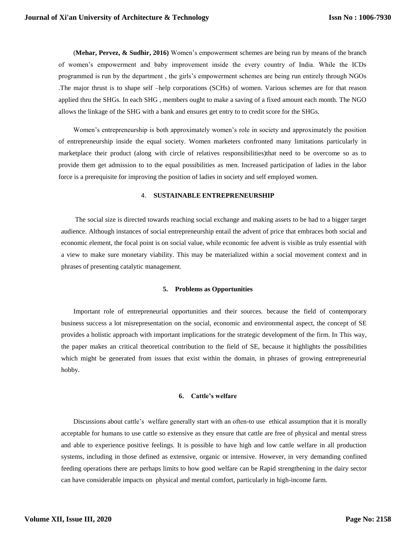(**Mehar, Pervez, & Sudhir, 2016)** Women's empowerment schemes are being run by means of the branch of women's empowerment and baby improvement inside the every country of India. While the ICDs programmed is run by the department , the girls's empowerment schemes are being run entirely through NGOs .The major thrust is to shape self –help corporations (SCHs) of women. Various schemes are for that reason applied thru the SHGs. In each SHG , members ought to make a saving of a fixed amount each month. The NGO allows the linkage of the SHG with a bank and ensures get entry to to credit score for the SHGs.

Women's entrepreneurship is both approximately women's role in society and approximately the position of entrepreneurship inside the equal society. Women marketers confronted many limitations particularly in marketplace their product (along with circle of relatives responsibilities)that need to be overcome so as to provide them get admission to to the equal possibilities as men. Increased participation of ladies in the labor force is a prerequisite for improving the position of ladies in society and self employed women.

#### 4. **SUSTAINABLE ENTREPRENEURSHIP**

The social size is directed towards reaching social exchange and making assets to be had to a bigger target audience. Although instances of social entrepreneurship entail the advent of price that embraces both social and economic element, the focal point is on social value, while economic fee advent is visible as truly essential with a view to make sure monetary viability. This may be materialized within a social movement context and in phrases of presenting catalytic management.

#### **5. Problems as Opportunities**

Important role of entrepreneurial opportunities and their sources. because the field of contemporary business success a lot misrepresentation on the social, economic and environmental aspect, the concept of SE provides a holistic approach with important implications for the strategic development of the firm. In This way, the paper makes an critical theoretical contribution to the field of SE, because it highlights the possibilities which might be generated from issues that exist within the domain, in phrases of growing entrepreneurial hobby.

#### **6. Cattle's welfare**

Discussions about cattle's welfare generally start with an often-to use ethical assumption that it is morally acceptable for humans to use cattle so extensive as they ensure that cattle are free of physical and mental stress and able to experience positive feelings. It is possible to have high and low cattle welfare in all production systems, including in those defined as extensive, organic or intensive. However, in very demanding confined feeding operations there are perhaps limits to how good welfare can be Rapid strengthening in the dairy sector can have considerable impacts on physical and mental comfort, particularly in high-income farm.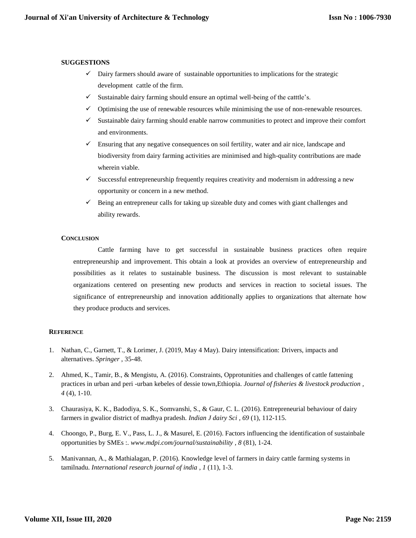## **SUGGESTIONS**

- Dairy farmers should aware of sustainable opportunities to implications for the strategic development cattle of the firm.
- $\checkmark$  Sustainable dairy farming should ensure an optimal well-being of the catttle's.
- $\checkmark$  Optimising the use of renewable resources while minimising the use of non-renewable resources.
- $\checkmark$  Sustainable dairy farming should enable narrow communities to protect and improve their comfort and environments.
- $\checkmark$  Ensuring that any negative consequences on soil fertility, water and air nice, landscape and biodiversity from dairy farming activities are minimised and high-quality contributions are made wherein viable.
- $\checkmark$  Successful entrepreneurship frequently requires creativity and modernism in addressing a new opportunity or concern in a new method.
- $\checkmark$  Being an entrepreneur calls for taking up sizeable duty and comes with giant challenges and ability rewards.

#### **CONCLUSION**

Cattle farming have to get successful in sustainable business practices often require entrepreneurship and improvement. This obtain a look at provides an overview of entrepreneurship and possibilities as it relates to sustainable business. The discussion is most relevant to sustainable organizations centered on presenting new products and services in reaction to societal issues. The significance of entrepreneurship and innovation additionally applies to organizations that alternate how they produce products and services.

# **REFERENCE**

- 1. Nathan, C., Garnett, T., & Lorimer, J. (2019, May 4 May). Dairy intensification: Drivers, impacts and alternatives. *Springer* , 35-48.
- 2. Ahmed, K., Tamir, B., & Mengistu, A. (2016). Constraints, Opprotunities and challenges of cattle fattening practices in urban and peri -urban kebeles of dessie town,Ethiopia. *Journal of fisheries & livestock production , 4* (4), 1-10.
- 3. Chaurasiya, K. K., Badodiya, S. K., Somvanshi, S., & Gaur, C. L. (2016). Entrepreneurial behaviour of dairy farmers in gwalior district of madhya pradesh. *Indian J dairy Sci , 69* (1), 112-115.
- 4. Choongo, P., Burg, E. V., Pass, L. J., & Masurel, E. (2016). Factors influencing the identification of sustainbale opportunities by SMEs :. *www.mdpi.com/journal/sustainability , 8* (81), 1-24.
- 5. Manivannan, A., & Mathialagan, P. (2016). Knowledge level of farmers in dairy cattle farming systems in tamilnadu. *International research journal of india , 1* (11), 1-3.